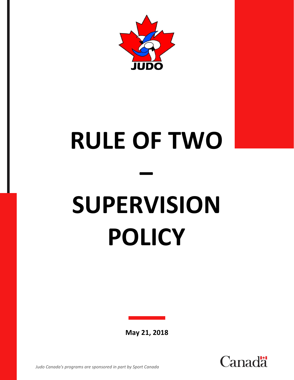

## **RULE OF TWO – SUPERVISION POLICY**

**May 21, 2018**

hal



*Judo Canada's programs are sponsored in part by Sport Canada*